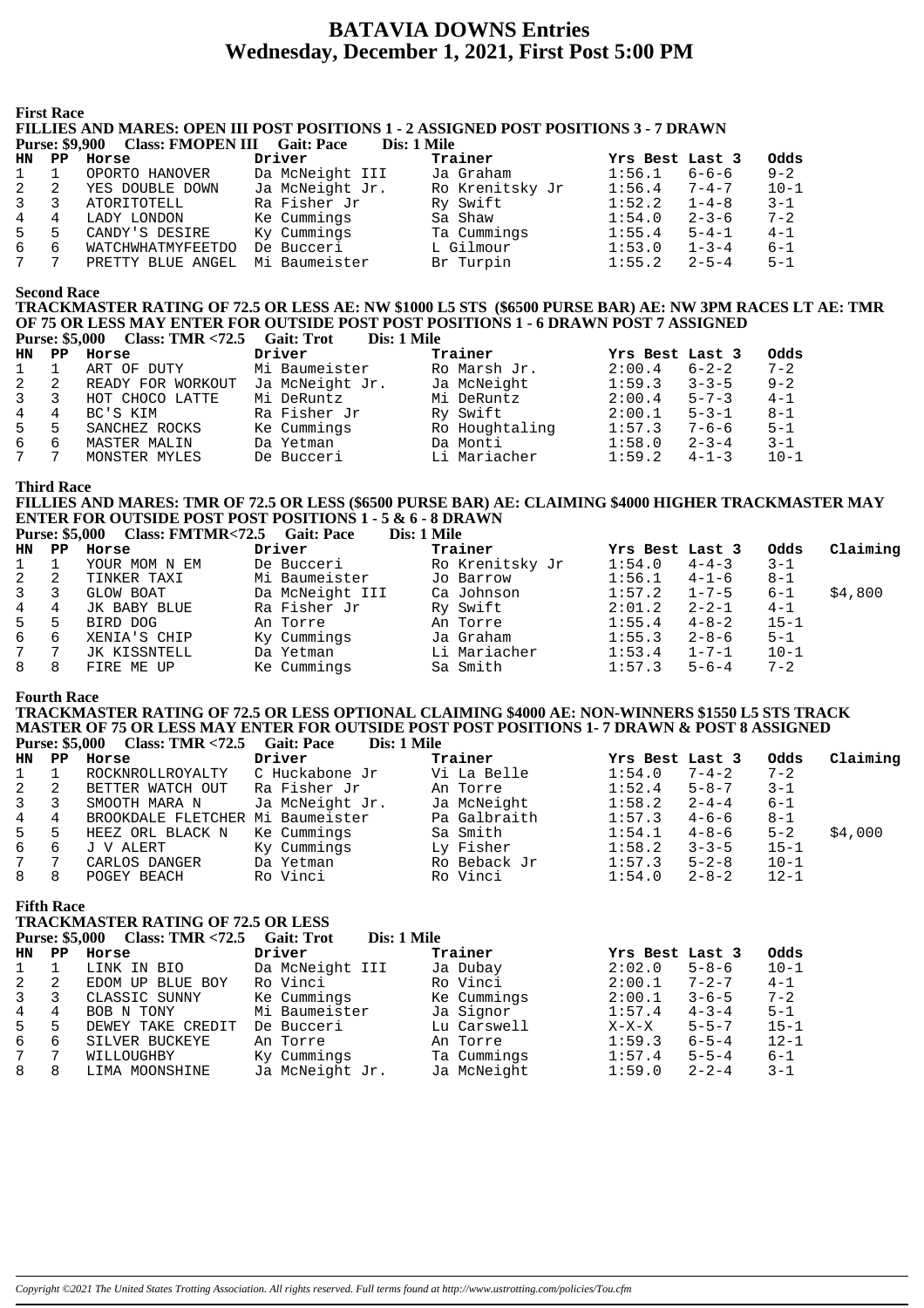# **BATAVIA DOWNS Entries Wednesday, December 1, 2021, First Post 5:00 PM**

**First Race**

FILLIES AND MARES: OPEN III POST POSITIONS 1 - 2 ASSIGNED POST POSITIONS 3 - 7 DRAWN Plass: **FMODEN III** 

|    |     | Purse: 39,900 Class: PINOPEN III Gall: Pace |                 | DIS: 1 MHE      |                       |          |
|----|-----|---------------------------------------------|-----------------|-----------------|-----------------------|----------|
| HN | PP. | Horse                                       | Driver          | Trainer         | Yrs Best Last 3       | Odds     |
| 1  |     | OPORTO HANOVER                              | Da McNeight III | Ja Graham       | $6 - 6 - 6$<br>1:56.1 | $9 - 2$  |
| 2  | 2   | YES DOUBLE DOWN                             | Ja McNeight Jr. | Ro Krenitsky Jr | $7 - 4 - 7$<br>1:56.4 | $10 - 1$ |
| 3  |     | ATORITOTELL                                 | Ra Fisher Jr    | Ry Swift        | $1 - 4 - 8$<br>1:52.2 | $3 - 1$  |
| 4  |     | LADY LONDON                                 | Ke Cummings     | Sa Shaw         | $2 - 3 - 6$<br>1:54.0 | $7 - 2$  |
| 5  | 5   | CANDY'S DESIRE                              | Ky Cummings     | Ta Cummings     | $5 - 4 - 1$<br>1:55.4 | $4 - 1$  |
| 6  | 6   | WATCHWHATMYFEETDO                           | De Bucceri      | L Gilmour       | 1:53.0<br>$1 - 3 - 4$ | $6 - 1$  |
|    |     | PRETTY BLUE ANGEL                           | Mi Baumeister   | Br Turpin       | 1:55.2<br>$2 - 5 - 4$ | $5 - 1$  |

#### **Second Race**

**TRACKMASTER RATING OF 72.5 OR LESS AE: NW \$1000 L5 STS (\$6500 PURSE BAR) AE: NW 3PM RACES LT AE: TMR OF 75 OR LESS MAY ENTER FOR OUTSIDE POST POST POSITIONS 1 - 6 DRAWN POST 7 ASSIGNED**<br>Purse: \$5,000 Class: TMR <72.5 Gait: Trot Dis: 1 Mile **Purse: \$5,000 Class: TMR <72.5 Gait: Trot** 

| HN.         | PP             | Horse             | Driver          | Trainer        | Yrs Best Last 3 |             | Odds     |
|-------------|----------------|-------------------|-----------------|----------------|-----------------|-------------|----------|
|             |                | ART OF DUTY       | Mi Baumeister   | Ro Marsh Jr.   | 2:00.4          | $6 - 2 - 2$ | $7 - 2$  |
| 2           | -2             | READY FOR WORKOUT | Ja McNeight Jr. | Ja McNeight    | 1:59.3          | $3 - 3 - 5$ | $9 - 2$  |
| $3 \quad 3$ |                | HOT CHOCO LATTE   | Mi DeRuntz      | Mi DeRuntz     | 2:00.4          | $5 - 7 - 3$ | $4 - 1$  |
| 4           | $\overline{4}$ | BC'S KIM          | Ra Fisher Jr    | Ry Swift       | 2:00.1          | $5 - 3 - 1$ | $8 - 1$  |
| 5           | -5             | SANCHEZ ROCKS     | Ke Cummings     | Ro Houghtaling | 1:57.3          | $7 - 6 - 6$ | $5 - 1$  |
| 6           | 6              | MASTER MALIN      | Da Yetman       | Da Monti       | 1:58.0          | $2 - 3 - 4$ | $3 - 1$  |
| 7 7         |                | MONSTER MYLES     | De Bucceri      | Li Mariacher   | 1:59.2          | $4 - 1 - 3$ | $10 - 1$ |

#### **Third Race**

#### **FILLIES AND MARES: TMR OF 72.5 OR LESS (\$6500 PURSE BAR) AE: CLAIMING \$4000 HIGHER TRACKMASTER MAY ENTER FOR OUTSIDE POST POSITIONS 1 - 5 & 6 - 8 DRAWN**<br>Purse: \$5,000 Class: EMTMR<72.5 Gait: Pace Dis: 1 Mile **Purse: \$5,000 Class: FMTMR<72.5 Gait: Pace**

|              |    | $\mathbf{I}$ ulse, $\phi \mathcal{I}$ , $\mathbf{0}$ $\mathbf{0}$ $\mathbf{0}$ $\mathbf{0}$ $\mathbf{0}$ $\mathbf{0}$ $\mathbf{0}$ $\mathbf{0}$ $\mathbf{0}$ $\mathbf{0}$ $\mathbf{0}$ $\mathbf{0}$ $\mathbf{0}$ $\mathbf{0}$ $\mathbf{0}$ $\mathbf{0}$ $\mathbf{0}$ $\mathbf{0}$ $\mathbf{0}$ $\mathbf{0}$ $\mathbf{0}$ $\mathbf{$ | Uail. I alt     | різ. І ічше     |                 |             |          |          |
|--------------|----|-------------------------------------------------------------------------------------------------------------------------------------------------------------------------------------------------------------------------------------------------------------------------------------------------------------------------------------|-----------------|-----------------|-----------------|-------------|----------|----------|
| HN PP        |    | Horse                                                                                                                                                                                                                                                                                                                               | Driver          | Trainer         | Yrs Best Last 3 |             | Odds     | Claiming |
|              |    | YOUR MOM N EM                                                                                                                                                                                                                                                                                                                       | De Bucceri      | Ro Krenitsky Jr | 1:54.0          | $4 - 4 - 3$ | $3 - 1$  |          |
| $\mathbf{2}$ | -2 | TINKER TAXI                                                                                                                                                                                                                                                                                                                         | Mi Baumeister   | Jo Barrow       | 1:56.1          | $4 - 1 - 6$ | $8 - 1$  |          |
| $3^{\circ}$  | 3  | GLOW BOAT                                                                                                                                                                                                                                                                                                                           | Da McNeight III | Ca Johnson      | 1:57.2          | $1 - 7 - 5$ | $6 - 1$  | \$4,800  |
| $4 \quad$    | 4  | JK BABY BLUE                                                                                                                                                                                                                                                                                                                        | Ra Fisher Jr    | Ry Swift        | 2:01.2          | $2 - 2 - 1$ | $4 - 1$  |          |
| $5 -$        |    | BIRD DOG                                                                                                                                                                                                                                                                                                                            | An Torre        | An Torre        | 1:55.4          | $4 - 8 - 2$ | $15 - 1$ |          |
| 6            | 6  | XENIA'S CHIP                                                                                                                                                                                                                                                                                                                        | Ky Cummings     | Ja Graham       | 1:55.3          | $2 - 8 - 6$ | $5 - 1$  |          |
| 7            |    | JK KISSNTELL                                                                                                                                                                                                                                                                                                                        | Da Yetman       | Li Mariacher    | 1:53.4          | $1 - 7 - 1$ | $10 - 1$ |          |
| 8            | 8  | FIRE ME UP                                                                                                                                                                                                                                                                                                                          | Ke Cummings     | Sa Smith        | 1:57.3          | $5 - 6 - 4$ | $7 - 2$  |          |
|              |    |                                                                                                                                                                                                                                                                                                                                     |                 |                 |                 |             |          |          |

#### **Fourth Race**

#### **TRACKMASTER RATING OF 72.5 OR LESS OPTIONAL CLAIMING \$4000 AE: NON-WINNERS \$1550 L5 STS TRACK MASTER OF 75 OR LESS MAY ENTER FOR OUTSIDE POST POST POSITIONS 1- 7 DRAWN & POST 8 ASSIGNED Purse: \$5,000 Class: TMR <72.5 Gait: Pace**

| HN PP        |    | Horse                            | Driver          | Trainer      | Yrs Best Last 3 |             | Odds     | Claiming |
|--------------|----|----------------------------------|-----------------|--------------|-----------------|-------------|----------|----------|
|              |    | ROCKNROLLROYALTY                 | C Huckabone Jr  | Vi La Belle  | 1:54.0          | $7 - 4 - 2$ | $7 - 2$  |          |
| 2            | -2 | BETTER WATCH OUT                 | Ra Fisher Jr    | An Torre     | 1:52.4          | $5 - 8 - 7$ | $3 - 1$  |          |
| $\mathbf{3}$ | 3  | SMOOTH MARA N                    | Ja McNeight Jr. | Ja McNeight  | 1:58.2          | $2 - 4 - 4$ | $6 - 1$  |          |
| 4            | 4  | BROOKDALE FLETCHER Mi Baumeister |                 | Pa Galbraith | 1:57.3          | $4 - 6 - 6$ | $8 - 1$  |          |
| 5            | 5  | HEEZ ORL BLACK N                 | Ke Cummings     | Sa Smith     | 1:54.1          | $4 - 8 - 6$ | $5 - 2$  | \$4,000  |
| 6            | 6  | J V ALERT                        | Ky Cummings     | Ly Fisher    | 1:58.2          | $3 - 3 - 5$ | $15 - 1$ |          |
| 7            |    | CARLOS DANGER                    | Da Yetman       | Ro Beback Jr | 1:57.3          | $5 - 2 - 8$ | $10 - 1$ |          |
| 8            | 8  | POGEY BEACH                      | Ro Vinci        | Ro Vinci     | 1:54.0          | $2 - 8 - 2$ | $12 - 1$ |          |

**Fifth Race**

**TRACKMASTER RATING OF 72.5 OR LESS**

|              | <b>Purse: \$5,000</b> | <b>Class: TMR &lt;72.5</b> | <b>Gait: Trot</b> | Dis: 1 Mile |                 |             |          |
|--------------|-----------------------|----------------------------|-------------------|-------------|-----------------|-------------|----------|
| HN           | PP                    | Horse                      | Driver            | Trainer     | Yrs Best Last 3 |             | Odds     |
| $\mathbf{1}$ |                       | LINK IN BIO                | Da McNeight III   | Ja Dubay    | 2:02.0          | $5 - 8 - 6$ | $10 - 1$ |
| 2            |                       | EDOM UP BLUE BOY           | Ro Vinci          | Ro Vinci    | 2:00.1          | $7 - 2 - 7$ | $4 - 1$  |
| 3            |                       | CLASSIC SUNNY              | Ke Cummings       | Ke Cummings | 2:00.1          | $3 - 6 - 5$ | $7 - 2$  |
| 4            | 4                     | BOB N TONY                 | Mi Baumeister     | Ja Signor   | 1:57.4          | $4 - 3 - 4$ | $5 - 1$  |
| 5            | 5                     | DEWEY TAKE CREDIT          | De Bucceri        | Lu Carswell | $X-X-X$         | $5 - 5 - 7$ | $15 - 1$ |
| 6            | 6                     | SILVER BUCKEYE             | An Torre          | An Torre    | 1:59.3          | $6 - 5 - 4$ | $12 - 1$ |
| $7^{\circ}$  | 7                     | WILLOUGHBY                 | Ky Cummings       | Ta Cummings | 1:57.4          | $5 - 5 - 4$ | $6 - 1$  |
| 8            | 8                     | LIMA MOONSHINE             | Ja McNeight Jr.   | Ja McNeight | 1:59.0          | $2 - 2 - 4$ | $3 - 1$  |